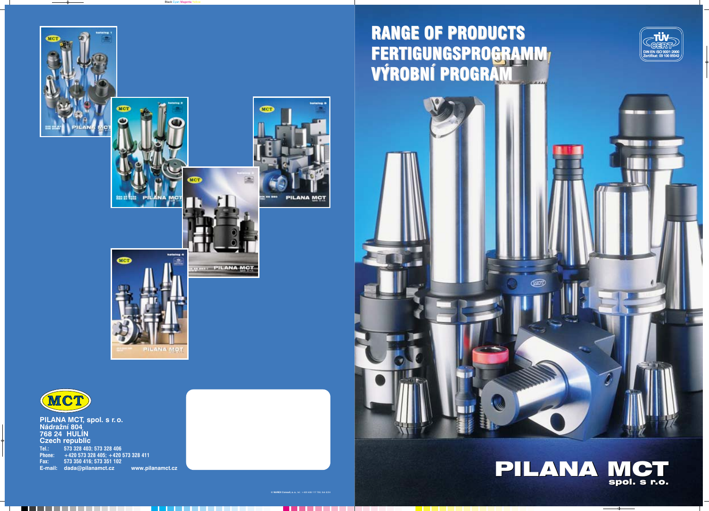**PILANA MCT, spol. s r. o. Nádražní 804 768 24 HULÍN Czech republic Tel.: 573 328 403; 573 328 406 Phone: +420 573 328 405; +420 573 328 411 Fax: 573 350 416; 573 351 102 E-mail: dada@pilanamct.cz www.pilanamct.cz**

**© NAREX Consult, a. s.**, tel.: +420 608 117 708, tisk 8/04





 $\cdots$ 

PILANA MCT spol. s r.o.

## RANGE OF PRODUCTS RANGE OF PRODUCTS FERTIGUNGSPROGRAMM VÝROBNÍ PROGRAM FERTIGUNGSPROGRAMM VÝROBNÍ PROGRAM











**ICT** 

MCT